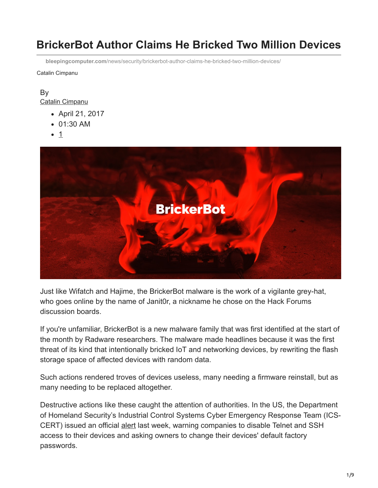# **BrickerBot Author Claims He Bricked Two Million Devices**

**bleepingcomputer.com**[/news/security/brickerbot-author-claims-he-bricked-two-million-devices/](https://www.bleepingcomputer.com/news/security/brickerbot-author-claims-he-bricked-two-million-devices/)

Catalin Cimpanu

#### By [Catalin Cimpanu](https://www.bleepingcomputer.com/author/catalin-cimpanu/)

- April 21, 2017
- 01:30 AM
- 1



Just like Wifatch and Hajime, the BrickerBot malware is the work of a vigilante grey-hat, who goes online by the name of Janit0r, a nickname he chose on the Hack Forums discussion boards.

If you're unfamiliar, BrickerBot is a new malware family that was first identified at the start of the month by Radware researchers. The malware made headlines because it was the first threat of its kind that intentionally bricked IoT and networking devices, by rewriting the flash storage space of affected devices with random data.

Such actions rendered troves of devices useless, many needing a firmware reinstall, but as many needing to be replaced altogether.

Destructive actions like these caught the attention of authorities. In the US, the Department of Homeland Security's Industrial Control Systems Cyber Emergency Response Team (ICS-CERT) issued an official [alert](https://ics-cert.us-cert.gov/alerts/ICS-ALERT-17-102-01A) last week, warning companies to disable Telnet and SSH access to their devices and asking owners to change their devices' default factory passwords.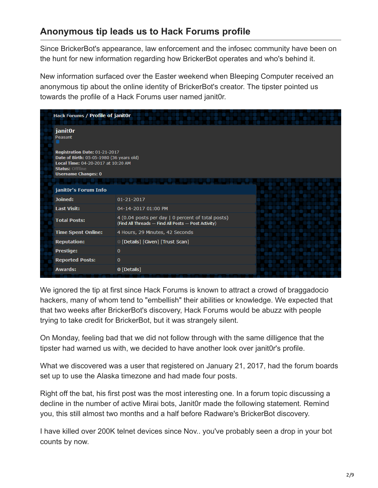# **Anonymous tip leads us to Hack Forums profile**

Since BrickerBot's appearance, law enforcement and the infosec community have been on the hunt for new information regarding how BrickerBot operates and who's behind it.

New information surfaced over the Easter weekend when Bleeping Computer received an anonymous tip about the online identity of BrickerBot's creator. The tipster pointed us towards the profile of a Hack Forums user named janit0r.

|  | <b>Hack Forums / Profile of janitOr</b>                                                                                                                                                       |                                                                                                          |  |
|--|-----------------------------------------------------------------------------------------------------------------------------------------------------------------------------------------------|----------------------------------------------------------------------------------------------------------|--|
|  | janit0r<br>Peasant<br>Registration Date: 01-21-2017<br>Date of Birth: 05-05-1980 (36 years old)<br>Local Time: 04-20-2017 at 10:20 AM<br><b>Status: Offline</b><br><b>Username Changes: 0</b> |                                                                                                          |  |
|  |                                                                                                                                                                                               |                                                                                                          |  |
|  |                                                                                                                                                                                               |                                                                                                          |  |
|  | janit0r's Forum Info                                                                                                                                                                          |                                                                                                          |  |
|  | Joined:                                                                                                                                                                                       | $01 - 21 - 2017$                                                                                         |  |
|  | <b>Last Visit:</b>                                                                                                                                                                            | 04-14-2017 01:00 PM                                                                                      |  |
|  | <b>Total Posts:</b>                                                                                                                                                                           | 4 (0.04 posts per day   0 percent of total posts)<br>(Find All Threads - Find All Posts - Post Activity) |  |
|  | <b>Time Spent Online:</b>                                                                                                                                                                     | 4 Hours, 29 Minutes, 42 Seconds                                                                          |  |
|  | <b>Reputation:</b>                                                                                                                                                                            | 0 [Details] [Given] [Trust Scan]                                                                         |  |
|  | <b>Prestige:</b>                                                                                                                                                                              | $\bf{0}$                                                                                                 |  |
|  | <b>Reported Posts:</b>                                                                                                                                                                        | $\mathbf{0}$                                                                                             |  |
|  | <b>Awards:</b>                                                                                                                                                                                | $0$ [Details]                                                                                            |  |

We ignored the tip at first since Hack Forums is known to attract a crowd of braggadocio hackers, many of whom tend to "embellish" their abilities or knowledge. We expected that that two weeks after BrickerBot's discovery, Hack Forums would be abuzz with people trying to take credit for BrickerBot, but it was strangely silent.

On Monday, feeling bad that we did not follow through with the same dilligence that the tipster had warned us with, we decided to have another look over janit0r's profile.

What we discovered was a user that registered on January 21, 2017, had the forum boards set up to use the Alaska timezone and had made four posts.

Right off the bat, his first post was the most interesting one. In a forum topic discussing a decline in the number of active Mirai bots, Janit0r made the following statement. Remind you, this still almost two months and a half before Radware's BrickerBot discovery.

I have killed over 200K telnet devices since Nov.. you've probably seen a drop in your bot counts by now.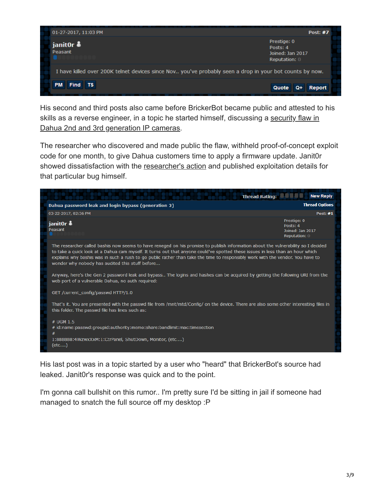

His second and third posts also came before BrickerBot became public and attested to his [skills as a reverse engineer, in a topic he started himself, discussing a security flaw in](https://www.bleepingcomputer.com/news/hardware/dahua-left-device-credentials-exposed-to-anyone-knowing-where-to-look/) Dahua 2nd and 3rd generation IP cameras.

The researcher who discovered and made public the flaw, withheld proof-of-concept exploit code for one month, to give Dahua customers time to apply a firmware update. Janit0r showed dissatisfaction with the [researcher's action](http://seclists.org/fulldisclosure/2017/Mar/7) and published exploitation details for that particular bug himself.



His last post was in a topic started by a user who "heard" that BrickerBot's source had leaked. Janit0r's response was quick and to the point.

I'm gonna call bullshit on this rumor.. I'm pretty sure I'd be sitting in jail if someone had managed to snatch the full source off my desktop :P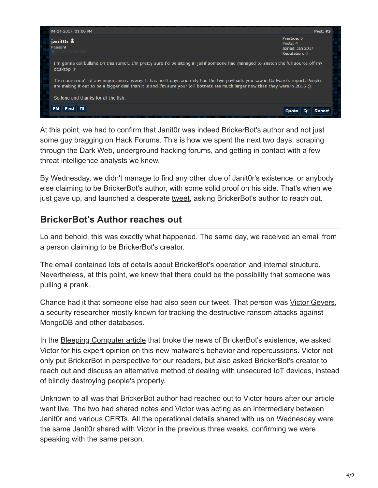

At this point, we had to confirm that Janit0r was indeed BrickerBot's author and not just some guy bragging on Hack Forums. This is how we spent the next two days, scraping through the Dark Web, underground hacking forums, and getting in contact with a few threat intelligence analysts we knew.

By Wednesday, we didn't manage to find any other clue of Janit0r's existence, or anybody else claiming to be BrickerBot's author, with some solid proof on his side. That's when we just gave up, and launched a desperate [tweet,](https://twitter.com/campuscodi/status/854660397374296064) asking BrickerBot's author to reach out.

#### **BrickerBot's Author reaches out**

Lo and behold, this was exactly what happened. The same day, we received an email from a person claiming to be BrickerBot's creator.

The email contained lots of details about BrickerBot's operation and internal structure. Nevertheless, at this point, we knew that there could be the possibility that someone was pulling a prank.

Chance had it that someone else had also seen our tweet. That person was [Victor Gevers](https://twitter.com/0xDUDE), a security researcher mostly known for tracking the destructive ransom attacks against MongoDB and other databases.

In the [Bleeping Computer article](https://www.bleepingcomputer.com/news/security/new-malware-intentionally-bricks-iot-devices/) that broke the news of BrickerBot's existence, we asked Victor for his expert opinion on this new malware's behavior and repercussions. Victor not only put BrickerBot in perspective for our readers, but also asked BrickerBot's creator to reach out and discuss an alternative method of dealing with unsecured IoT devices, instead of blindly destroying people's property.

Unknown to all was that BrickerBot author had reached out to Victor hours after our article went live. The two had shared notes and Victor was acting as an intermediary between Janit0r and various CERTs. All the operational details shared with us on Wednesday were the same Janit0r shared with Victor in the previous three weeks, confirming we were speaking with the same person.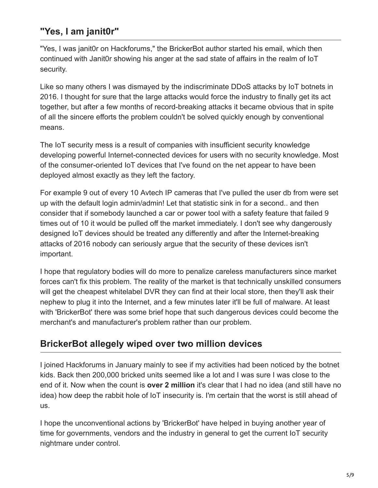# **"Yes, I am janit0r"**

"Yes, I was janit0r on Hackforums," the BrickerBot author started his email, which then continued with Janit0r showing his anger at the sad state of affairs in the realm of IoT security.

Like so many others I was dismayed by the indiscriminate DDoS attacks by IoT botnets in 2016. I thought for sure that the large attacks would force the industry to finally get its act together, but after a few months of record-breaking attacks it became obvious that in spite of all the sincere efforts the problem couldn't be solved quickly enough by conventional means.

The IoT security mess is a result of companies with insufficient security knowledge developing powerful Internet-connected devices for users with no security knowledge. Most of the consumer-oriented IoT devices that I've found on the net appear to have been deployed almost exactly as they left the factory.

For example 9 out of every 10 Avtech IP cameras that I've pulled the user db from were set up with the default login admin/admin! Let that statistic sink in for a second.. and then consider that if somebody launched a car or power tool with a safety feature that failed 9 times out of 10 it would be pulled off the market immediately. I don't see why dangerously designed IoT devices should be treated any differently and after the Internet-breaking attacks of 2016 nobody can seriously argue that the security of these devices isn't important.

I hope that regulatory bodies will do more to penalize careless manufacturers since market forces can't fix this problem. The reality of the market is that technically unskilled consumers will get the cheapest whitelabel DVR they can find at their local store, then they'll ask their nephew to plug it into the Internet, and a few minutes later it'll be full of malware. At least with 'BrickerBot' there was some brief hope that such dangerous devices could become the merchant's and manufacturer's problem rather than our problem.

#### **BrickerBot allegely wiped over two million devices**

I joined Hackforums in January mainly to see if my activities had been noticed by the botnet kids. Back then 200,000 bricked units seemed like a lot and I was sure I was close to the end of it. Now when the count is **over 2 million** it's clear that I had no idea (and still have no idea) how deep the rabbit hole of IoT insecurity is. I'm certain that the worst is still ahead of us.

I hope the unconventional actions by 'BrickerBot' have helped in buying another year of time for governments, vendors and the industry in general to get the current IoT security nightmare under control.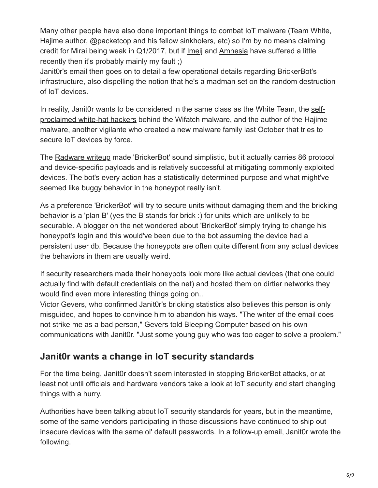Many other people have also done important things to combat IoT malware (Team White, Hajime author, @packetcop and his fellow sinkholers, etc) so I'm by no means claiming credit for Mirai being weak in Q1/2017, but if [Imeij](https://www.bleepingcomputer.com/news/security/new-imeij-iot-malware-targets-avtech-equipment/) and [Amnesia](https://www.bleepingcomputer.com/news/security/irresponsible-chinese-dvr-vendor-still-the-target-of-iot-botnets-one-year-later/) have suffered a little recently then it's probably mainly my fault ;)

Janit0r's email then goes on to detail a few operational details regarding BrickerBot's infrastructure, also dispelling the notion that he's a madman set on the random destruction of IoT devices.

[In reality, Janit0r wants to be considered in the same class as the White Team, the self](https://www.symantec.com/connect/blogs/there-internet-things-vigilante-out-there)proclaimed white-hat hackers behind the Wifatch malware, and the author of the Hajime malware, [another vigilante](https://www.bleepingcomputer.com/news/security/vigilante-hacker-uses-hajime-malware-to-wrestle-with-mirai-botnets/) who created a new malware family last October that tries to secure IoT devices by force.

The [Radware writeup](https://security.radware.com/ddos-threats-attacks/brickerbot-pdos-permanent-denial-of-service/) made 'BrickerBot' sound simplistic, but it actually carries 86 protocol and device-specific payloads and is relatively successful at mitigating commonly exploited devices. The bot's every action has a statistically determined purpose and what might've seemed like buggy behavior in the honeypot really isn't.

As a preference 'BrickerBot' will try to secure units without damaging them and the bricking behavior is a 'plan B' (yes the B stands for brick :) for units which are unlikely to be securable. A blogger on the net wondered about 'BrickerBot' simply trying to change his honeypot's login and this would've been due to the bot assuming the device had a persistent user db. Because the honeypots are often quite different from any actual devices the behaviors in them are usually weird.

If security researchers made their honeypots look more like actual devices (that one could actually find with default credentials on the net) and hosted them on dirtier networks they would find even more interesting things going on..

Victor Gevers, who confirmed Janit0r's bricking statistics also believes this person is only misguided, and hopes to convince him to abandon his ways. "The writer of the email does not strike me as a bad person," Gevers told Bleeping Computer based on his own communications with Janit0r. "Just some young guy who was too eager to solve a problem."

### **Janit0r wants a change in IoT security standards**

For the time being, Janit0r doesn't seem interested in stopping BrickerBot attacks, or at least not until officials and hardware vendors take a look at IoT security and start changing things with a hurry.

Authorities have been talking about IoT security standards for years, but in the meantime, some of the same vendors participating in those discussions have continued to ship out insecure devices with the same ol' default passwords. In a follow-up email, Janit0r wrote the following.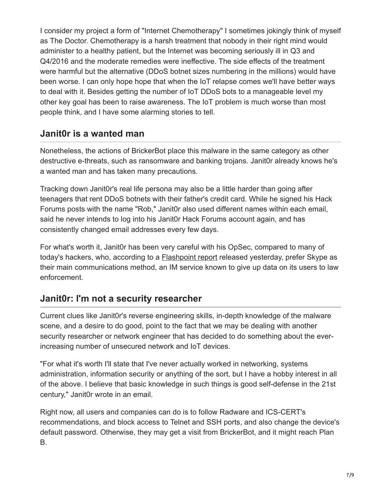I consider my project a form of "Internet Chemotherapy" I sometimes jokingly think of myself as The Doctor. Chemotherapy is a harsh treatment that nobody in their right mind would administer to a healthy patient, but the Internet was becoming seriously ill in Q3 and Q4/2016 and the moderate remedies were ineffective. The side effects of the treatment were harmful but the alternative (DDoS botnet sizes numbering in the millions) would have been worse. I can only hope hope that when the IoT relapse comes we'll have better ways to deal with it. Besides getting the number of IoT DDoS bots to a manageable level my other key goal has been to raise awareness. The IoT problem is much worse than most people think, and I have some alarming stories to tell.

### **Janit0r is a wanted man**

Nonetheless, the actions of BrickerBot place this malware in the same category as other destructive e-threats, such as ransomware and banking trojans. Janit0r already knows he's a wanted man and has taken many precautions.

Tracking down Janit0r's real life persona may also be a little harder than going after teenagers that rent DDoS botnets with their father's credit card. While he signed his Hack Forums posts with the name "Rob," Janit0r also used different names within each email, said he never intends to log into his Janit0r Hack Forums account again, and has consistently changed email addresses every few days.

For what's worth it, Janit0r has been very careful with his OpSec, compared to many of today's hackers, who, according to a **[Flashpoint report](https://www.flashpoint-intel.com/blog/cybercrime/cybercriminal-communication-strategies/)** released yesterday, prefer Skype as their main communications method, an IM service known to give up data on its users to law enforcement.

## **Janit0r: I'm not a security researcher**

Current clues like Janit0r's reverse engineering skills, in-depth knowledge of the malware scene, and a desire to do good, point to the fact that we may be dealing with another security researcher or network engineer that has decided to do something about the everincreasing number of unsecured network and IoT devices.

"For what it's worth I'll state that I've never actually worked in networking, systems administration, information security or anything of the sort, but I have a hobby interest in all of the above. I believe that basic knowledge in such things is good self-defense in the 21st century," Janit0r wrote in an email.

Right now, all users and companies can do is to follow Radware and ICS-CERT's recommendations, and block access to Telnet and SSH ports, and also change the device's default password. Otherwise, they may get a visit from BrickerBot, and it might reach Plan B.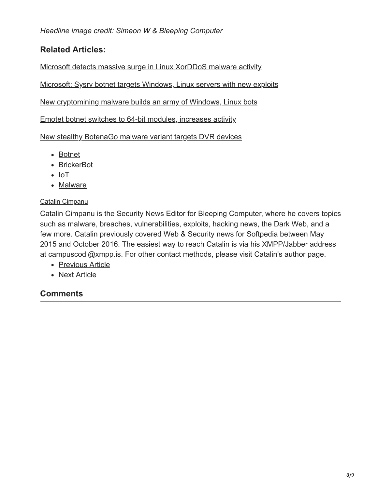#### **Related Articles:**

[Microsoft detects massive surge in Linux XorDDoS malware activity](https://www.bleepingcomputer.com/news/security/microsoft-detects-massive-surge-in-linux-xorddos-malware-activity/)

[Microsoft: Sysrv botnet targets Windows, Linux servers with new exploits](https://www.bleepingcomputer.com/news/security/microsoft-sysrv-botnet-targets-windows-linux-servers-with-new-exploits/)

[New cryptomining malware builds an army of Windows, Linux bots](https://www.bleepingcomputer.com/news/security/new-cryptomining-malware-builds-an-army-of-windows-linux-bots/)

[Emotet botnet switches to 64-bit modules, increases activity](https://www.bleepingcomputer.com/news/security/emotet-botnet-switches-to-64-bit-modules-increases-activity/)

[New stealthy BotenaGo malware variant targets DVR devices](https://www.bleepingcomputer.com/news/security/new-stealthy-botenago-malware-variant-targets-dvr-devices/)

- [Botnet](https://www.bleepingcomputer.com/tag/botnet/)
- [BrickerBot](https://www.bleepingcomputer.com/tag/brickerbot/)
- $\bullet$  [IoT](https://www.bleepingcomputer.com/tag/iot/)
- [Malware](https://www.bleepingcomputer.com/tag/malware/)

#### [Catalin Cimpanu](https://www.bleepingcomputer.com/author/catalin-cimpanu/)

Catalin Cimpanu is the Security News Editor for Bleeping Computer, where he covers topics such as malware, breaches, vulnerabilities, exploits, hacking news, the Dark Web, and a few more. Catalin previously covered Web & Security news for Softpedia between May 2015 and October 2016. The easiest way to reach Catalin is via his XMPP/Jabber address at campuscodi@xmpp.is. For other contact methods, please visit Catalin's author page.

- [Previous Article](https://www.bleepingcomputer.com/news/microsoft/microsoft-sets-new-release-schedule-for-windows-10-with-two-major-updates-per-year/)
- [Next Article](https://www.bleepingcomputer.com/news/security/aes-ni-ransomware-dev-claims-hes-using-shadow-brokers-exploits/)

#### **Comments**